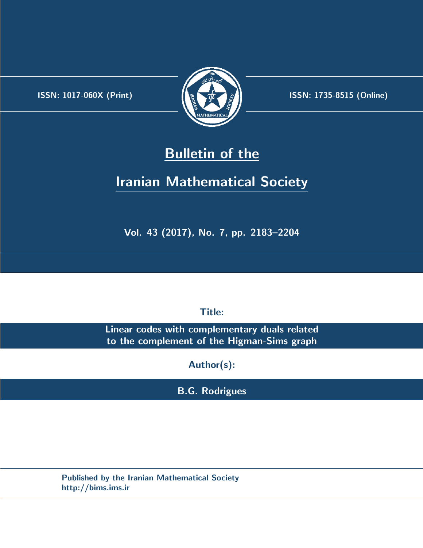.



**ISSN:** 1017-060X (Print)  $\left(\frac{1}{2}\right)$   $\frac{1}{2}$   $\frac{1}{2}$   $\frac{1}{2}$  **ISSN:** 1735-8515 (Online)

# **Bulletin of the**

# **Iranian Mathematical Society**

**Vol. 43 (2017), No. 7, pp. 2183–2204**

**Title:**

**Linear codes with complementary duals related to the complement of the Higman-Sims graph**

**Author(s):**

**B.G. Rodrigues**

**Published by the Iranian Mathematical Society http://bims.ims.ir**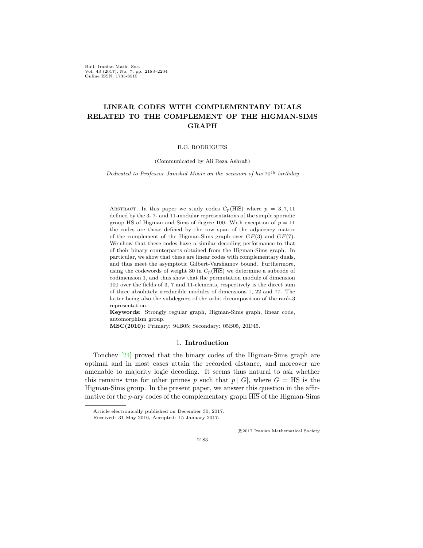Bull. Iranian Math. Soc. Vol. 43 (2017), No. 7, pp. 2183–2204 Online ISSN: 1735-8515

# **LINEAR CODES WITH COMPLEMENTARY DUALS RELATED TO THE COMPLEMENT OF THE HIGMAN-SIMS GRAPH**

#### B.G. RODRIGUES

(Communicated by Ali Reza Ashrafi)

*Dedicated to Professor Jamshid Moori on the occasion of his*  $70<sup>th</sup>$  *birthday* 

ABSTRACT. In this paper we study codes  $C_p(\overline{\text{His}})$  where  $p = 3, 7, 11$ defined by the 3- 7- and 11-modular representations of the simple sporadic group HS of Higman and Sims of degree 100. With exception of  $p = 11$ the codes are those defined by the row span of the adjacency matrix of the complement of the Higman-Sims graph over *GF*(3) and *GF*(7)*.* We show that these codes have a similar decoding performance to that of their binary counterparts obtained from the Higman-Sims graph. In particular, we show that these are linear codes with complementary duals, and thus meet the asymptotic Gilbert-Varshamov bound. Furthermore, using the codewords of weight 30 in  $C_p(\overline{\text{His}})$  we determine a subcode of codimension 1, and thus show that the permutation module of dimension 100 over the fields of 3, 7 and 11-elements, respectively is the direct sum of three absolutely irreducible modules of dimensions 1, 22 and 77. The latter being also the subdegrees of the orbit decomposition of the rank-3 representation.

**Keywords:** Strongly regular graph, Higman-Sims graph, linear code, automorphism group.

**MSC(2010):** Primary: 94B05; Secondary: 05B05, 20D45.

#### 1. **Introduction**

Tonchev [\[24](#page-22-0)] proved that the binary codes of the Higman-Sims graph are optimal and in most cases attain the recorded distance, and moreover are amenable to majority logic decoding. It seems thus natural to ask whether this remains true for other primes *p* such that  $p \mid |G|$ , where  $G = HS$  is the Higman-Sims group. In the present paper, we answer this question in the affirmative for the  $p$ -ary codes of the complementary graph  $\overline{H}$  of the Higman-Sims

*⃝*c 2017 Iranian Mathematical Society

Article electronically published on December 30, 2017.

Received: 31 May 2016, Accepted: 15 January 2017.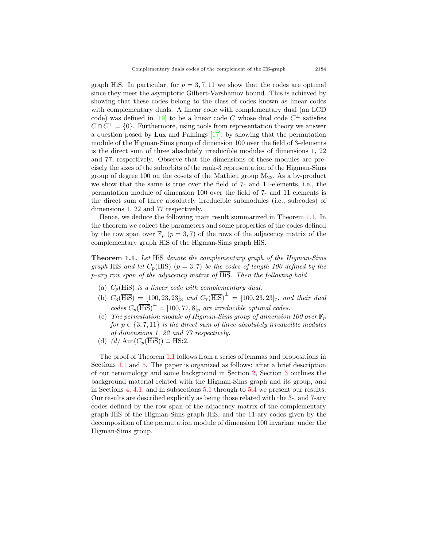graph HiS. In particular, for  $p = 3, 7, 11$  we show that the codes are optimal since they meet the asymptotic Gilbert-Varshamov bound. This is achieved by showing that these codes belong to the class of codes known as linear codes with complementary duals. A linear code with complementary dual (an LCD code)was defined in [[19\]](#page-22-1) to be a linear code C whose dual code  $C^{\perp}$  satisfies  $C \cap C^{\perp} = \{0\}$ . Furthermore, using tools from representation theory we answer a question posed by Lux and Pahlings [\[17](#page-22-2)], by showing that the permutation module of the Higman-Sims group of dimension 100 over the field of 3-elements is the direct sum of three absolutely irreducible modules of dimensions 1, 22 and 77, respectively. Observe that the dimensions of these modules are precisely the sizes of the suborbits of the rank-3 representation of the Higman-Sims group of degree 100 on the cosets of the Mathieu group M22*.* As a by-product we show that the same is true over the field of 7- and 11-elements, i.e., the permutation module of dimension 100 over the field of 7- and 11 elements is the direct sum of three absolutely irreducible submodules (i.e., subcodes) of dimensions 1, 22 and 77 respectively.

Hence, we deduce the following main result summarized in Theorem [1.1.](#page-2-0) In the theorem we collect the parameters and some properties of the codes defined by the row span over  $\mathbb{F}_p$   $(p=3,7)$  of the rows of the adjacency matrix of the complementary graph HiS of the Higman-Sims graph HiS.

<span id="page-2-0"></span>**Theorem 1.1.** *Let* HiS *denote the complementary graph of the Higman-Sims graph* HiS *and let*  $C_p(\overline{\text{His}})$  ( $p = 3, 7$ ) *be the codes of length 100 defined by the p-ary row span of the adjacency matrix of* HiS*. Then the following hold*

- (a)  $C_n(\overline{\text{His}})$  *is a linear code with complementary dual.*
- $(C_3(\overline{\text{His}}) = [100, 23, 23]_3$  *and*  $C_7(\overline{\text{His}})^{\perp} = [100, 23, 23]_7$ *, and their dual*  $\left[ \cos C_p(\overline{\text{His}}) \right]$ <sup> $\perp$ </sup> =  $[100, 77, 8]_p$  *are irreducible optimal codes.*
- (c) The permutation module of Higman-Sims group of dimension 100 over  $\mathbb{F}_p$ *for*  $p \in \{3, 7, 11\}$  *is the direct sum of three absolutely irreducible modules of dimensions 1, 22 and 77 respectively.*
- (d) *(d)* Aut( $C_p$ (HiS)) ≅ HS:2.

The proof of Theorem [1.1](#page-2-0) follows from a series of lemmas and propositions in Sections [4.1](#page-8-0) and [5](#page-10-0). The paper is organized as follows: after a brief description of our terminology and some background in Section [2,](#page-3-0) Section [3](#page-5-0) outlines the background material related with the Higman-Sims graph and its group, and in Sections [4,](#page-6-0) [4.1,](#page-8-0) and in subsections [5.1](#page-10-1) through to [5.4](#page-19-0) we present our results. Our results are described explicitly as being those related with the 3-, and 7-ary codes defined by the row span of the adjacency matrix of the complementary graph HiS of the Higman-Sims graph HiS, and the 11-ary codes given by the decomposition of the permutation module of dimension 100 invariant under the Higman-Sims group.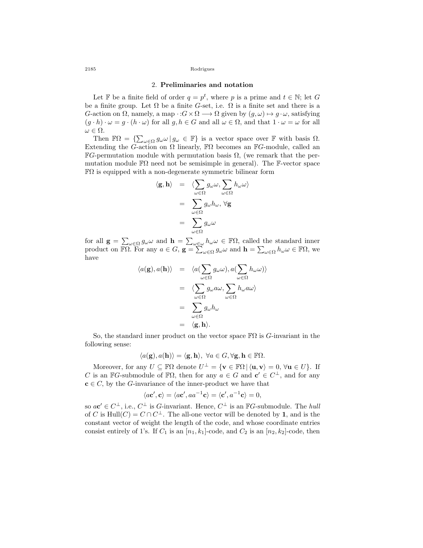#### 2. **Preliminaries and notation**

Let F be a finite field of order  $q = p^t$ , where p is a prime and  $t \in \mathbb{N}$ ; let G be a finite group. Let  $\Omega$  be a finite *G*-set, i.e.  $\Omega$  is a finite set and there is a *G*-action on  $\Omega$ , namely, a map  $\cdot$  : $G \times \Omega \longrightarrow \Omega$  given by  $(g, \omega) \mapsto g \cdot \omega$ , satisfying  $(g \cdot h) \cdot \omega = g \cdot (h \cdot \omega)$  for all  $g, h \in G$  and all  $\omega \in \Omega$ , and that  $1 \cdot \omega = \omega$  for all  $ω ∈ Ω$ *.* 

Then  $\mathbb{F}\Omega = \left\{ \sum_{\omega \in \Omega} g_{\omega} \omega \, | \, g_{\omega} \in \mathbb{F} \right\}$  is a vector space over  $\mathbb{F}$  with basis  $\Omega$ . Extending the *G*-action on  $\Omega$  linearly,  $\mathbb{F}\Omega$  becomes an  $\mathbb{F}G$ -module, called an  $\mathbb{F}G$ -permutation module with permutation basis  $\Omega$ , (we remark that the permutation module  $\mathbb{F}\Omega$  need not be semisimple in general). The F-vector space  $\mathbb{F}\Omega$  is equipped with a non-degenerate symmetric bilinear form

$$
\langle \mathbf{g}, \mathbf{h} \rangle = \langle \sum_{\omega \in \Omega} g_{\omega} \omega, \sum_{\omega \in \Omega} h_{\omega} \omega \rangle
$$

$$
= \sum_{\omega \in \Omega} g_{\omega} h_{\omega}, \forall \mathbf{g}
$$

$$
= \sum_{\omega \in \Omega} g_{\omega} \omega
$$

for all  $\mathbf{g} = \sum_{\omega \in \Omega} g_{\omega} \omega$  and  $\mathbf{h} = \sum_{\omega \in \omega} h_{\omega} \omega \in \mathbb{F}\Omega$ , called the standard inner product on  $\overline{\mathbb{F}\Omega}$ . For any  $a \in G$ ,  $\mathbf{g} = \sum_{\omega \in \Omega} g_{\omega} \omega$  and  $\mathbf{h} = \sum_{\omega \in \Omega} h_{\omega} \omega \in \mathbb{F}\Omega$ , we have

$$
\langle a(\mathbf{g}), a(\mathbf{h}) \rangle = \langle a(\sum_{\omega \in \Omega} g_{\omega}\omega), a(\sum_{\omega \in \Omega} h_{\omega}\omega) \rangle
$$
  

$$
= \langle \sum_{\omega \in \Omega} g_{\omega} a \omega, \sum_{\omega \in \Omega} h_{\omega} a \omega \rangle
$$
  

$$
= \sum_{\omega \in \Omega} g_{\omega} h_{\omega}
$$
  

$$
= \langle \mathbf{g}, \mathbf{h} \rangle.
$$

So, the standard inner product on the vector space  $\mathbb{F}\Omega$  is *G*-invariant in the following sense:

$$
\langle a(\mathbf{g}), a(\mathbf{h}) \rangle = \langle \mathbf{g}, \mathbf{h} \rangle, \ \forall a \in G, \forall \mathbf{g}, \mathbf{h} \in \mathbb{F}\Omega.
$$

Moreover, for any  $U \subseteq \mathbb{F}\Omega$  denote  $U^{\perp} = {\mathbf{v} \in \mathbb{F}\Omega \mid \langle \mathbf{u}, \mathbf{v} \rangle = 0, \forall \mathbf{u} \in U}.$  If *C* is an  $\mathbb{F}G$ -submodule of  $\mathbb{F}\Omega$ , then for any  $a \in G$  and  $c' \in C^{\perp}$ , and for any  $c \in C$ , by the *G*-invariance of the inner-product we have that

$$
\langle a\mathbf{c}', \mathbf{c} \rangle = \langle a\mathbf{c}', aa^{-1}\mathbf{c} \rangle = \langle \mathbf{c}', a^{-1}\mathbf{c} \rangle = 0,
$$

so  $a\mathbf{c}' \in C^{\perp}$ , i.e.,  $C^{\perp}$  is *G*-invariant. Hence,  $C^{\perp}$  is an  $\mathbb{F}G$ -submodule. The *hull* of *C* is  $\text{Hull}(C) = C \cap C^{\perp}$ . The all-one vector will be denoted by 1, and is the constant vector of weight the length of the code, and whose coordinate entries consist entirely of 1's. If  $C_1$  is an  $[n_1, k_1]$ -code, and  $C_2$  is an  $[n_2, k_2]$ -code, then

<span id="page-3-0"></span>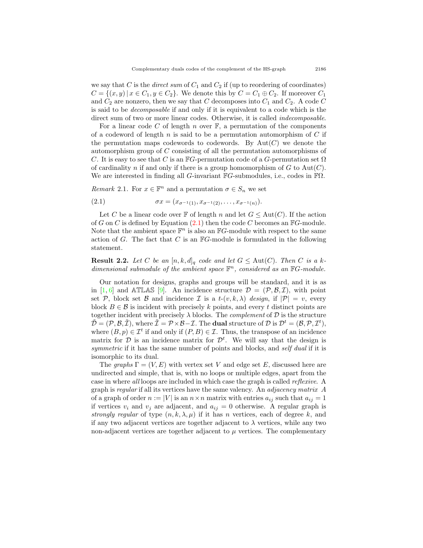we say that *C* is the *direct sum* of  $C_1$  and  $C_2$  if (up to reordering of coordinates) *C* = {(*x, y*) | *x* ∈ *C*<sub>1</sub>*, y* ∈ *C*<sub>2</sub>}. We denote this by *C* = *C*<sub>1</sub> ⊕ *C*<sub>2</sub>. If moreover *C*<sub>1</sub> and  $C_2$  are nonzero, then we say that  $C$  decomposes into  $C_1$  and  $C_2$ . A code  $C$ is said to be *decomposable* if and only if it is equivalent to a code which is the direct sum of two or more linear codes. Otherwise, it is called *indecomposable*.

For a linear code *C* of length *n* over F*,* a permutation of the components of a codeword of length *n* is said to be a permutation automorphism of *C* if the permutation maps codewords to codewords. By  $Aut(C)$  we denote the automorphism group of *C* consisting of all the permutation automorphisms of *C*. It is easy to see that *C* is an  $\mathbb{F}G$ -permutation code of a *G*-permutation set  $\Omega$ of cardinality *n* if and only if there is a group homomorphism of  $G$  to  $Aut(C)$ . We are interested in finding all *G*-invariant F*G*-submodules, i.e., codes in FΩ*.*

*Remark* 2.1. For  $x \in \mathbb{F}^n$  and a permutation  $\sigma \in S_n$  we set

<span id="page-4-0"></span>(2.1) 
$$
\sigma x = (x_{\sigma^{-1}(1)}, x_{\sigma^{-1}(2)}, \dots, x_{\sigma^{-1}(n)}).
$$

Let *C* be a linear code over  $\mathbb F$  of length *n* and let  $G \leq \text{Aut}(C)$ . If the action of *G* on *C* is defined by Equation [\(2.1](#page-4-0)) then the code *C* becomes an F*G*-module. Note that the ambient space  $\mathbb{F}^n$  is also an  $\mathbb{F}G$ -module with respect to the same action of *G*. The fact that *C* is an F*G*-module is formulated in the following statement.

**Result 2.2.** Let C be an  $[n, k, d]_q$  code and let  $G \leq \text{Aut}(C)$ . Then C is a k*dimensional submodule of the ambient space* F *<sup>n</sup>, considered as an* F*G-module.*

Our notation for designs, graphs and groups will be standard, and it is as in[[1,](#page-21-0) [6](#page-21-1)] and ATLAS [[9\]](#page-22-3). An incidence structure  $\mathcal{D} = (\mathcal{P}, \mathcal{B}, \mathcal{I})$ , with point set *P*, block set *B* and incidence *I* is a  $t-(v, k, \lambda)$  design, if  $|\mathcal{P}| = v$ , every block  $B \in \mathcal{B}$  is incident with precisely k points, and every t distinct points are together incident with precisely  $\lambda$  blocks. The *complement* of  $\mathcal D$  is the structure  $\tilde{\mathcal{D}} = (\mathcal{P}, \mathcal{B}, \tilde{\mathcal{I}}), \text{ where } \tilde{\mathcal{I}} = \mathcal{P} \times \mathcal{B} - \mathcal{I}.$  The **dual** structure of  $\mathcal{D}$  is  $\mathcal{D}^t = (\mathcal{B}, \mathcal{P}, \mathcal{I}^t),$ where  $(B, p) \in \mathcal{I}^t$  if and only if  $(P, B) \in \mathcal{I}$ . Thus, the transpose of an incidence matrix for  $D$  is an incidence matrix for  $D<sup>t</sup>$ . We will say that the design is *symmetric* if it has the same number of points and blocks, and *self dual* if it is isomorphic to its dual.

The *graphs*  $\Gamma = (V, E)$  with vertex set *V* and edge set *E*, discussed here are undirected and simple, that is, with no loops or multiple edges, apart from the case in where *all* loops are included in which case the graph is called *reflexive*. A graph is *regular* if all its vertices have the same valency. An *adjacency matrix A* of a graph of order  $n := |V|$  is an  $n \times n$  matrix with entries  $a_{ij}$  such that  $a_{ij} = 1$ if vertices  $v_i$  and  $v_j$  are adjacent, and  $a_{ij} = 0$  otherwise. A regular graph is *strongly regular* of type  $(n, k, \lambda, \mu)$  if it has *n* vertices, each of degree *k*, and if any two adjacent vertices are together adjacent to  $\lambda$  vertices, while any two non-adjacent vertices are together adjacent to  $\mu$  vertices. The complementary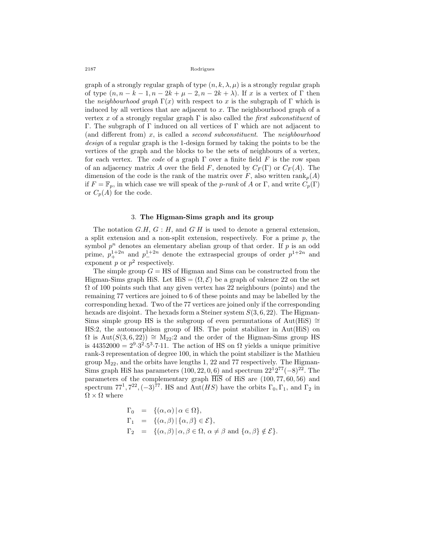graph of a strongly regular graph of type  $(n, k, \lambda, \mu)$  is a strongly regular graph of type  $(n, n-k-1, n-2k+\mu-2, n-2k+\lambda)$ . If *x* is a vertex of  $\Gamma$  then the *neighbourhood graph*  $\Gamma(x)$  with respect to *x* is the subgraph of  $\Gamma$  which is induced by all vertices that are adjacent to *x.* The neighbourhood graph of a vertex *x* of a strongly regular graph Γ is also called the *first subconstituent* of Γ*.* The subgraph of Γ induced on all vertices of Γ which are not adjacent to (and different from) *x,* is called a *second subconstituent*. The *neighbourhood design* of a regular graph is the 1-design formed by taking the points to be the vertices of the graph and the blocks to be the sets of neighbours of a vertex, for each vertex. The *code* of a graph Γ over a finite field *F* is the row span of an adjacency matrix *A* over the field *F*, denoted by  $C_F(\Gamma)$  or  $C_F(A)$ . The dimension of the code is the rank of the matrix over *F*, also written  $\text{rank}_p(A)$ if  $F = \mathbb{F}_p$ , in which case we will speak of the *p-rank* of *A* or Γ, and write  $C_p(\Gamma)$ or  $C_p(A)$  for the code.

# 3. **The Higman-Sims graph and its group**

<span id="page-5-0"></span>The notation *G.H, G* : *H,* and *G·H* is used to denote a general extension, a split extension and a non-split extension, respectively. For a prime *p,* the symbol  $p^n$  denotes an elementary abelian group of that order. If  $p$  is an odd prime,  $p_{+}^{1+2n}$  and  $p_{-}^{1+2n}$  denote the extraspecial groups of order  $p_{-}^{1+2n}$  and exponent  $p$  or  $p^2$  respectively.

The simple group  $G = HS$  of Higman and Sims can be constructed from the Higman-Sims graph HiS. Let  $\text{His} = (\Omega, \mathcal{E})$  be a graph of valence 22 on the set  $\Omega$  of 100 points such that any given vertex has 22 neighbours (points) and the remaining 77 vertices are joined to 6 of these points and may be labelled by the corresponding hexad. Two of the 77 vertices are joined only if the corresponding hexads are disjoint. The hexads form a Steiner system *S*(3*,* 6*,* 22). The Higman-Sims simple group HS is the subgroup of even permutations of Aut(HiS) *∼*= HS:2*,* the automorphism group of HS*.* The point stabilizer in Aut(HiS) on  $\Omega$  is Aut( $S(3,6,22)$ )  $\cong$  M<sub>22</sub>:2 and the order of the Higman-Sims group HS is  $44352000 = 2^9 \cdot 3^2 \cdot 5^3 \cdot 7 \cdot 11$ . The action of HS on  $\Omega$  yields a unique primitive rank-3 representation of degree 100, in which the point stabilizer is the Mathieu group  $M_{22}$ , and the orbits have lengths 1, 22 and 77 respectively. The Higman-Sims graph HiS has parameters  $(100, 22, 0, 6)$  and spectrum  $22^{12^{77}}(-8)^{22}$ . The parameters of the complementary graph HiS of HiS are (100*,* 77*,* 60*,* 56) and spectrum  $77^1, 7^{22}, (-3)^{77}$ . HS and  $Aut(HS)$  have the orbits  $\Gamma_0, \Gamma_1$ , and  $\Gamma_2$  in  $\Omega \times \Omega$  where

$$
\begin{array}{rcl}\n\Gamma_0 & = & \{(\alpha, \alpha) \mid \alpha \in \Omega\}, \\
\Gamma_1 & = & \{(\alpha, \beta) \mid \{\alpha, \beta\} \in \mathcal{E}\}, \\
\Gamma_2 & = & \{(\alpha, \beta) \mid \alpha, \beta \in \Omega, \alpha \neq \beta \text{ and } \{\alpha, \beta\} \notin \mathcal{E}\}.\n\end{array}
$$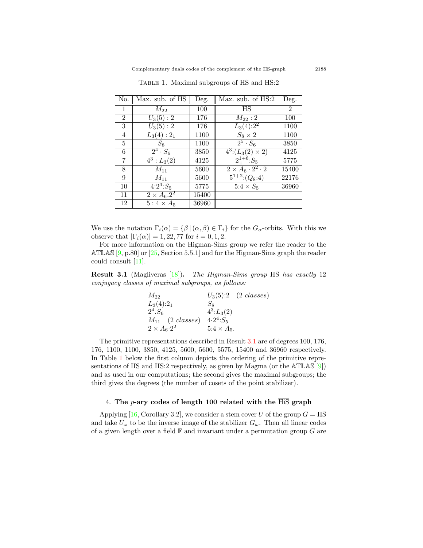| No.            | Max. sub. of HS            | Deg.  | Max. sub. of HS:2                      | Deg.           |
|----------------|----------------------------|-------|----------------------------------------|----------------|
| 1              | $M_{22}$                   | 100   | <b>HS</b>                              | $\overline{2}$ |
| $\overline{2}$ | $U_3(5):2$                 | 176   | $M_{22}:2$                             | 100            |
| 3              | $U_3(5):2$                 | 176   | $L_3(4):2^2$                           | 1100           |
| 4              | $L_3(4):2_1$               | 1100  | $S_8 \times 2$                         | 1100           |
| 5              | $S_8$                      | 1100  | $\overline{2^5 \cdot S_6}$             | 3850           |
| 6              | $\overline{2^4 \cdot S_6}$ | 3850  | $\overline{4^3}$ : $(L_3(2) \times 2)$ | 4125           |
| 7              | $\overline{4^3}: L_3(2)$   | 4125  | $2^{1+6}_{+}$ : $S_5$                  | 5775           |
| 8              | $M_{11}$                   | 5600  | $2 \times A_6 \cdot 2^2 \cdot 2$       | 15400          |
| 9              | $M_{11}$                   | 5600  | $\overline{5^{1+2}:(Q_8:4)}$           | 22176          |
| 10             | $4.2^{4}$ : $S_{5}$        | 5775  | $5.4 \times S_5$                       | 36960          |
| 11             | $2 \times A_6.2^2$         | 15400 |                                        |                |
| 12             | $5:4\times A_5$            | 36960 |                                        |                |

<span id="page-6-2"></span>Table 1. Maximal subgroups of HS and HS:2

We use the notation  $\Gamma_i(\alpha) = {\beta | (\alpha, \beta) \in \Gamma_i}$  for the  $G_\alpha$ -orbits. With this we observe that  $|\Gamma_i(\alpha)| = 1,22,77$  for  $i = 0,1,2$ .

For more information on the Higman-Sims group we refer the reader to the ATLAS $[9, p.80]$  $[9, p.80]$  or  $[25, Section 5.5.1]$  $[25, Section 5.5.1]$  $[25, Section 5.5.1]$  and for the Higman-Sims graph the reader could consult[[11\]](#page-22-5).

<span id="page-6-1"></span>**Result 3.1** (Magliveras[[18\]](#page-22-6))**.** *The Higman-Sims group* HS *has exactly* 12 *conjugacy classes of maximal subgroups, as follows:*

| $M_{22}$                 |                    | $U_3(5):2 \quad (2 \; classes)$ |
|--------------------------|--------------------|---------------------------------|
| $L_3(4):2_1$             | $S_8$              |                                 |
| $2^4.S_6$                | $4^3: L_3(2)$      |                                 |
| $M_{11}$ (2 classes)     | $4.2^4: S_5$       |                                 |
| $2 \times A_6 \cdot 2^2$ | $5.4 \times A_5$ . |                                 |

The primitive representations described in Result [3.1](#page-6-1) are of degrees 100, 176, 176, 1100, 1100, 3850, 4125, 5600, 5600, 5575, 15400 and 36960 respectively. In Table [1](#page-6-2) below the first column depicts the ordering of the primitive representations of HS and HS:2 respectively, as given by Magma (or the ATLAS [[9\]](#page-22-3)) and as used in our computations; the second gives the maximal subgroups; the third gives the degrees (the number of cosets of the point stabilizer).

# 4. **The** *p***-ary codes of length 100 related with the** HiS **graph**

<span id="page-6-0"></span>Applying $[16, Corollary 3.2]$  $[16, Corollary 3.2]$  $[16, Corollary 3.2]$ , we consider a stem cover *U* of the group  $G = HS$ and take  $U_{\omega}$  to be the inverse image of the stabilizer  $G_{\omega}$ . Then all linear codes of a given length over a field F and invariant under a permutation group *G* are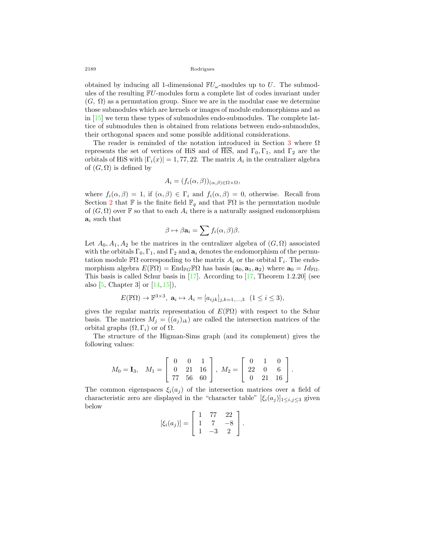obtained by inducing all 1-dimensional  $\mathbb{F}U_\omega$ -modules up to *U*. The submodules of the resulting F*U*-modules form a complete list of codes invariant under  $(G, \Omega)$  as a permutation group. Since we are in the modular case we determine those submodules which are kernels or images of module endomorphisms and as in[[15\]](#page-22-8) we term these types of submodules endo-submodules. The complete lattice of submodules then is obtained from relations between endo-submodules, their orthogonal spaces and some possible additional considerations.

The reader is reminded of the notation introduced in Section [3](#page-5-0) where  $\Omega$ represents the set of vertices of HiS and of HiS, and  $\Gamma_0$ ,  $\Gamma_1$ , and  $\Gamma_2$  are the orbitals of HiS with  $|\Gamma_i(x)| = 1,77,22$ . The matrix  $A_i$  in the centralizer algebra of  $(G, \Omega)$  is defined by

$$
A_i = (f_i(\alpha, \beta))_{(\alpha, \beta) \in \Omega \times \Omega},
$$

where  $f_i(\alpha, \beta) = 1$ , if  $(\alpha, \beta) \in \Gamma_i$  and  $f_i(\alpha, \beta) = 0$ , otherwise. Recall from Section [2](#page-3-0) that F is the finite field  $\mathbb{F}_q$  and that  $\mathbb{F}\Omega$  is the permutation module of  $(G, \Omega)$  over **F** so that to each  $A_i$  there is a naturally assigned endomorphism **a***<sup>i</sup>* such that

$$
\beta \mapsto \beta \mathbf{a}_i = \sum f_i(\alpha, \beta) \beta.
$$

Let  $A_0, A_1, A_2$  be the matrices in the centralizer algebra of  $(G, \Omega)$  associated with the orbitals  $\Gamma_0, \Gamma_1$ , and  $\Gamma_2$  and  $\mathbf{a}_i$  denotes the endomorphism of the permutation module  $\mathbb{F}\Omega$  corresponding to the matrix  $A_i$  or the orbital  $\Gamma_i$ . The endomorphism algebra  $E(\mathbb{F}\Omega) = \text{End}_{\mathbb{F}G}\mathbb{F}\Omega$  has basis  $(a_0, a_1, a_2)$  where  $a_0 = Id_{\mathbb{F}\Omega}$ . This basis is called Schur basis in[[17\]](#page-22-2). According to[[17,](#page-22-2) Theorem 1.2.20] (see also $[5, Chapter 3]$  $[5, Chapter 3]$  $[5, Chapter 3]$  or  $[14, 15]$  $[14, 15]$  $[14, 15]$  $[14, 15]$ ,

$$
E(\mathbb{F}\Omega) \to \mathbb{F}^{3 \times 3}, \ \mathbf{a}_i \mapsto A_i = [a_{ijk}]_{j,k=1,\dots,3} \ \ (1 \le i \le 3),
$$

gives the regular matrix representation of  $E(\mathbb{F}\Omega)$  with respect to the Schur basis. The matrices  $M_j = ((a_j)_{ik})$  are called the intersection matrices of the orbital graphs (Ω*,* Γ*i*) or of Ω*.*

The structure of the Higman-Sims graph (and its complement) gives the following values:

$$
M_0 = \mathbf{I}_3, \quad M_1 = \left[ \begin{array}{ccc} 0 & 0 & 1 \\ 0 & 21 & 16 \\ 77 & 56 & 60 \end{array} \right], \quad M_2 = \left[ \begin{array}{ccc} 0 & 1 & 0 \\ 22 & 0 & 6 \\ 0 & 21 & 16 \end{array} \right].
$$

The common eigenspaces  $\xi_i(a_i)$  of the intersection matrices over a field of characteristic zero are displayed in the "character table"  $[\xi_i(a_j)]_{1 \le i,j \le 3}$  given below

$$
[\xi_i(a_j)] = \begin{bmatrix} 1 & 77 & 22 \\ 1 & 7 & -8 \\ 1 & -3 & 2 \end{bmatrix}.
$$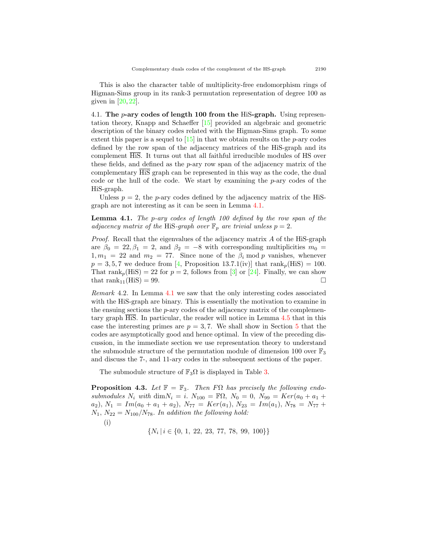This is also the character table of multiplicity-free endomorphism rings of Higman-Sims group in its rank-3 permutation representation of degree 100 as given in  $[20, 22]$  $[20, 22]$  $[20, 22]$ .

<span id="page-8-0"></span>4.1. **The** *p***-ary codes of length 100 from the** HiS**-graph.** Using representation theory, Knapp and Schaeffer[[15\]](#page-22-8) provided an algebraic and geometric description of the binary codes related with the Higman-Sims graph. To some extent this paper is a sequel to[[15\]](#page-22-8) in that we obtain results on the *p*-ary codes defined by the row span of the adjacency matrices of the HiS-graph and its complement  $\overline{\text{His}}$ . It turns out that all faithful irreducible modules of HS over these fields, and defined as the *p*-ary row span of the adjacency matrix of the complementary HiS graph can be represented in this way as the code, the dual code or the hull of the code. We start by examining the *p*-ary codes of the HiS-graph.

Unless  $p = 2$ , the *p*-ary codes defined by the adjacency matrix of the HiSgraph are not interesting as it can be seen in Lemma [4.1](#page-8-1).

<span id="page-8-1"></span>**Lemma 4.1.** *The p-ary codes of length 100 defined by the row span of the adjacency matrix of the HiS-graph over*  $\mathbb{F}_p$  *are trivial unless*  $p = 2$ *.* 

*Proof.* Recall that the eigenvalues of the adjacency matrix *A* of the HiS-graph are  $\beta_0 = 22$ ,  $\beta_1 = 2$ , and  $\beta_2 = -8$  with corresponding multiplicities  $m_0 =$  $1, m_1 = 22$  and  $m_2 = 77$ . Since none of the  $\beta_i$  mod *p* vanishes, whenever  $p = 3, 5, 7$  $p = 3, 5, 7$  $p = 3, 5, 7$  we deduce from [[4,](#page-21-3) Proposition 13.7.1(iv)] that rank<sub>p</sub>(HiS) = 100. That $\text{rank}_p(\text{HiS}) = 22$  for  $p = 2$ , follows from [[3\]](#page-21-4) or [[24\]](#page-22-0). Finally, we can show that rank<sub>11</sub>(HiS) = 99.  $\Box$ 

<span id="page-8-3"></span>*Remark* 4.2*.* In Lemma [4.1](#page-8-1) we saw that the only interesting codes associated with the HiS-graph are binary. This is essentially the motivation to examine in the ensuing sections the *p*-ary codes of the adjacency matrix of the complementary graph  $\overline{\text{His}}$ . In particular, the reader will notice in Lemma [4.5](#page-9-0) that in this case the interesting primes are  $p = 3, 7$ . We shall show in Section [5](#page-10-0) that the codes are asymptotically good and hence optimal. In view of the preceding discussion, in the immediate section we use representation theory to understand the submodule structure of the permutation module of dimension 100 over  $\mathbb{F}_3$ and discuss the 7-, and 11-ary codes in the subsequent sections of the paper.

The submodule structure of  $\mathbb{F}_3\Omega$  $\mathbb{F}_3\Omega$  $\mathbb{F}_3\Omega$  is displayed in Table 3.

<span id="page-8-2"></span>**Proposition 4.3.** *Let*  $\mathbb{F} = \mathbb{F}_3$ . *Then*  $F\Omega$  *has precisely the following endo* $submodules N_i \text{ with } \dim N_i = i. \ N_{100} = \mathbb{F} \Omega, \ N_0 = 0, \ N_{99} = Ker(a_0 + a_1 + a_2)$  $a_2$ ,  $N_1 = Im(a_0 + a_1 + a_2)$ ,  $N_{77} = Ker(a_1)$ ,  $N_{23} = Im(a_1)$ ,  $N_{78} = N_{77} +$  $N_1$ ,  $N_{22} = N_{100}/N_{78}$ *. In addition the following hold:* 

(i)

*{N<sup>i</sup> |i ∈ {*0*,* 1*,* 22*,* 23*,* 77*,* 78*,* 99*,* 100*}}*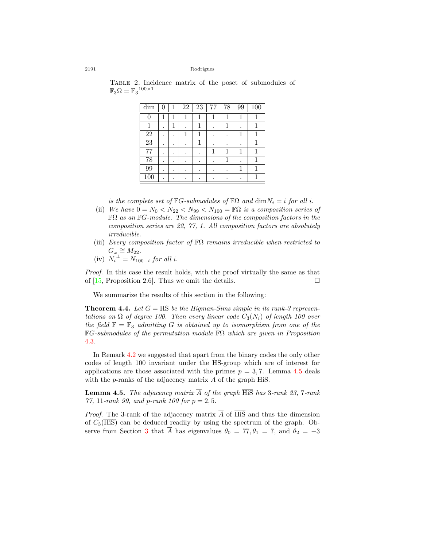|                                                 |  |  |  | TABLE 2. Incidence matrix of the poset of submodules of |  |
|-------------------------------------------------|--|--|--|---------------------------------------------------------|--|
| $\mathbb{F}_3\Omega=\mathbb{F}_3^{100\times 1}$ |  |  |  |                                                         |  |
|                                                 |  |  |  |                                                         |  |

<span id="page-9-1"></span>

| dim             | 0 | $\mathbf{1}$ | 22 | 23 | 77 | 78 | 99 | 100 |
|-----------------|---|--------------|----|----|----|----|----|-----|
| 0               |   | 1            |    |    | 1  | 1  | 1  |     |
|                 |   | 1            |    |    |    | 1  |    |     |
| 22              |   |              |    |    |    |    |    |     |
| $\overline{23}$ |   | ٠            |    |    |    |    |    |     |
| 77              | ٠ | ٠            | ٠  |    | 1  | 1  | 1  |     |
| 78              |   | ٠            |    |    |    | 1  |    |     |
| 99              |   |              |    |    |    |    | 1  | 1   |
| 100             |   |              |    |    |    |    |    |     |

*is the complete set of*  $\mathbb{F}G$ *-submodules of*  $\mathbb{F}\Omega$  *and*  $\dim N_i = i$  *for all i*.

- (ii) *We have*  $0 = N_0 < N_{22} < N_{99} < N_{100} = \mathbb{F}\Omega$  *is a composition series of* FΩ *as an* F*G-module. The dimensions of the composition factors in the composition series are 22, 77, 1. All composition factors are absolutely irreducible.*
- (iii) *Every composition factor of* FΩ *remains irreducible when restricted to*  $G_\omega \cong M_{22}$ .
- $(iv)$   $N_i^{\perp} = N_{100-i}$  *for all i.*

*Proof.* In this case the result holds, with the proof virtually the same as that of  $[15,$  Proposition 2.6]. Thus we omit the details.  $\Box$ 

We summarize the results of this section in the following:

**Theorem 4.4.** Let  $G = \text{HS}$  be the Higman-Sims simple in its rank-3 represen*tations on*  $\Omega$  *of degree 100. Then every linear code*  $C_3(N_i)$  *of length 100 over the field*  $\mathbb{F} = \mathbb{F}_3$  *admitting G is obtained up to isomorphism from one of the* F*G-submodules of the permutation module* FΩ *which are given in Proposition* [4.3.](#page-8-2)

In Remark [4.2](#page-8-3) we suggested that apart from the binary codes the only other codes of length 100 invariant under the HS-group which are of interest for applications are those associated with the primes  $p = 3, 7$ . Lemma [4.5](#page-9-0) deals with the *p*-ranks of the adjacency matrix *A* of the graph HiS.

<span id="page-9-0"></span>**Lemma 4.5.** *The adjacency matrix*  $\overline{A}$  *of the graph*  $\overline{His}$  *has* 3*-rank* 23, 7*-rank 77,* 11*-rank 99, and p-rank 100 for p* = 2*,* 5*.*

*Proof.* The 3-rank of the adjacency matrix  $\overline{A}$  of  $\overline{HiS}$  and thus the dimension of  $C_3(\overline{\text{HiS}})$  can be deduced readily by using the spectrum of the graph. Ob-serve from Section [3](#page-5-0) that  $\overline{A}$  has eigenvalues  $\theta_0 = 77, \theta_1 = 7$ , and  $\theta_2 = -3$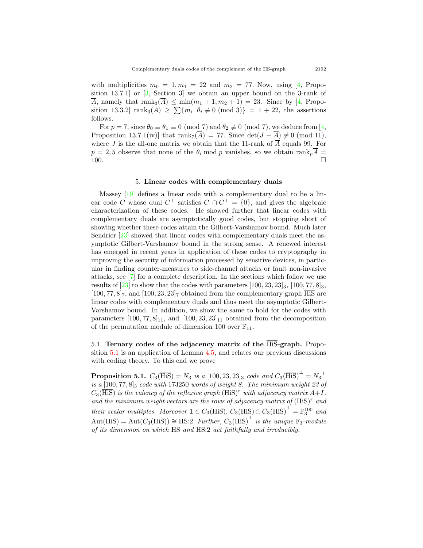withmultiplicities  $m_0 = 1, m_1 = 22$  and  $m_2 = 77$ . Now, using [[4](#page-21-3), Proposition 13.7.1] or [\[3](#page-21-4), Section 3] we obtain an upper bound on the 3-rank of  $\overline{A}$ ,namely that  $\text{rank}_3(\overline{A}) \leq \min(m_1 + 1, m_2 + 1) = 23$ . Since by [[4,](#page-21-3) Proposition 13.3.2]  $rank_3(\overline{A}) \geq \sum \{m_i \mid \theta_i \neq 0 \pmod{3} \} = 1 + 22$ , the assertions follows.

For $p = 7$ , since  $\theta_0 \equiv \theta_1 \equiv 0 \pmod{7}$  and  $\theta_2 \not\equiv 0 \pmod{7}$ , we deduce from [[4](#page-21-3), Proposition 13.7.1(iv)] that rank<sub>7</sub>( $\overline{A}$ ) = 77. Since det( $J - \overline{A}$ )  $\not\equiv 0 \pmod{11}$ , where *J* is the all-one matrix we obtain that the 11-rank of  $\overline{A}$  equals 99. For  $p = 2, 5$  observe that none of the  $\theta_i$  mod *p* vanishes, so we obtain rank<sub>*p*</sub> $\overline{A}$  = 100.  $\Box$ 

### 5. **Linear codes with complementary duals**

<span id="page-10-0"></span>Massey[[19\]](#page-22-1) defines a linear code with a complementary dual to be a linear code *C* whose dual  $C^{\perp}$  satisfies  $C \cap C^{\perp} = \{0\}$ , and gives the algebraic characterization of these codes. He showed further that linear codes with complementary duals are asymptotically good codes, but stopping short of showing whether these codes attain the Gilbert-Varshamov bound. Much later Sendrier [\[23](#page-22-12)] showed that linear codes with complementary duals meet the asymptotic Gilbert-Varshamov bound in the strong sense. A renewed interest has emerged in recent years in application of these codes to cryptography in improving the security of information processed by sensitive devices, in particular in finding counter-measures to side-channel attacks or fault non-invasive attacks, see [\[7](#page-21-5)] for a complete description. In the sections which follow we use resultsof  $[23]$  $[23]$  to show that the codes with parameters  $[100, 23, 23]_3$ ,  $[100, 77, 8]_3$ ,  $[100, 77, 8]_7$ , and  $[100, 23, 23]_7$  obtained from the complementary graph  $\overline{H}$ linear codes with complementary duals and thus meet the asymptotic Gilbert-Varshamov bound. In addition, we show the same to hold for the codes with parameters  $[100, 77, 8]_{11}$ , and  $[100, 23, 23]_{11}$  obtained from the decomposition of the permutation module of dimension 100 over  $\mathbb{F}_{11}$ .

<span id="page-10-1"></span>5.1. **Ternary codes of the adjacency matrix of the** HiS**-graph.** Proposition [5.1](#page-10-2) is an application of Lemma [4.5](#page-9-0), and relates our previous discussions with coding theory. To this end we prove

<span id="page-10-2"></span>**Proposition 5.1.**  $C_3(\overline{\text{His}}) = N_3$  *is a* [100*,* 23*,* 23]<sub>3</sub> *code and*  $C_3(\overline{\text{His}})^{\perp} = N_3^{\perp}$ *is a* [100*,* 77*,* 8]<sup>3</sup> *code with* 173250 *words of weight 8. The minimum weight 23 of*  $C_3(\overline{\text{His}})$  *is the valency of the reflexive graph*  $(\text{His})^r$  *with adjacency matrix*  $A+I$ *, and the minimum weight vectors are the rows of adjacency matrix of* (HiS)*<sup>r</sup> and their scalar multiples. Moreover*  $\mathbf{1} \in C_3(\overline{\text{HiS}}), C_3(\overline{\text{HiS}}) \oplus C_3(\overline{\text{HiS}})^{\perp} = \mathbb{F}_3^{100}$  and  $Aut(\overline{His}) = Aut(C_3(\overline{His})) \cong HS:2$ . *Further,*  $C_3(\overline{His})^{\perp}$  *is the unique*  $\mathbb{F}_3$ -module *of its dimension on which* HS *and* HS:2 *act faithfully and irreducibly.*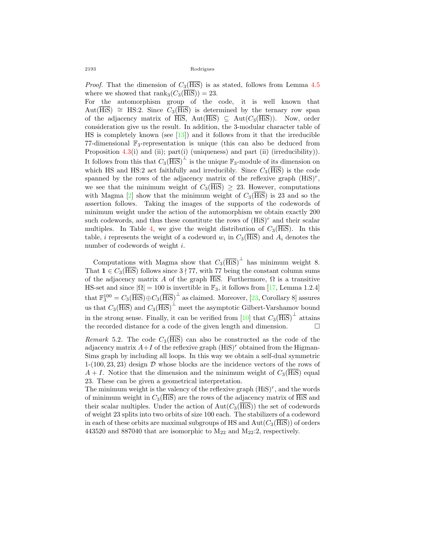*Proof.* That the dimension of  $C_3(\overline{\text{His}})$  is as stated, follows from Lemma [4.5](#page-9-0) where we showed that  $\text{rank}_3(C_3(\overline{\text{His}})) = 23$ .

For the automorphism group of the code, it is well known that Aut(HiS) *∼*= HS:2*.* Since *C*3(HiS) is determined by the ternary row span of the adjacency matrix of  $\overline{HiS}$ , Aut $(\overline{HiS}) \subseteq Aut(C_3(\overline{HiS}))$ . Now, order consideration give us the result. In addition, the 3-modular character table of HS is completely known (see  $[13]$ ) and it follows from it that the irreducible 77-dimensional  $\mathbb{F}_3$ -representation is unique (this can also be deduced from Proposition [4.3\(](#page-8-2)i) and (ii); part(i) (uniqueness) and part (ii) (irreducibility)). It follows from this that  $C_3(\overline{\text{HiS}})^{\perp}$  is the unique  $\mathbb{F}_3$ -module of its dimension on which HS and HS:2 act faithfully and irreducibly. Since  $C_3(\overline{\text{His}})$  is the code spanned by the rows of the adjacency matrix of the reflexive graph (HiS)*<sup>r</sup>* , we see that the minimum weight of  $C_3(\overline{\text{His}}) \geq 23$ . However, computations withMagma  $[2]$  $[2]$  show that the minimum weight of  $C_3(\overline{\text{His}})$  is 23 and so the assertion follows. Taking the images of the supports of the codewords of minimum weight under the action of the automorphism we obtain exactly 200 such codewords, and thus these constitute the rows of  $(HiS)^r$  and their scalar multiples. In Table [4](#page-14-0), we give the weight distribution of  $C_3(\overline{\text{His}})$ . In this table, *i* represents the weight of a codeword  $w_i$  in  $C_3$ (HiS) and  $A_i$  denotes the number of codewords of weight *i.*

Computations with Magma show that  $C_3(\overline{\text{His}})^{\perp}$  has minimum weight 8. That  $\mathbf{1} \in C_3$ (HiS) follows since  $3 \nmid 77$ , with 77 being the constant column sums of the adjacency matrix *A* of the graph  $\overline{\text{HiS}}$ . Furthermore,  $\Omega$  is a transitive HS-set and since  $|\Omega| = 100$  is invertible in  $\mathbb{F}_3$ , it follows from [\[17](#page-22-2), Lemma 1.2.4] that $\mathbb{F}_3^{100} = C_3(\overline{\text{His}}) \oplus C_3(\overline{\text{His}})^{\perp}$  as claimed. Moreover, [[23,](#page-22-12) Corollary 8] assures us that  $C_3(\overline{\text{His}})$  and  $C_3(\overline{\text{His}})^{\perp}$  meet the asymptotic Gilbert-Varshamov bound in the strong sense. Finally, it can be verified from  $[10]$  that  $C_3(\overline{\text{His}})^{\perp}$  attains the recorded distance for a code of the given length and dimension.  $\Box$ 

*Remark* 5.2. The code  $C_3(\overline{\text{His}})$  can also be constructed as the code of the adjacency matrix  $A+I$  of the reflexive graph  $(HiS)^r$  obtained from the Higman-Sims graph by including all loops. In this way we obtain a self-dual symmetric 1-(100*,* 23*,* 23) design *D* whose blocks are the incidence vectors of the rows of  $A + I$ . Notice that the dimension and the minimum weight of  $C_3(\overline{\text{HiS}})$  equal 23. These can be given a geometrical interpretation.

The minimum weight is the valency of the reflexive graph (HiS)*<sup>r</sup>* , and the words of minimum weight in  $C_3(\overline{\text{HiS}})$  are the rows of the adjacency matrix of  $\overline{\text{HiS}}$  and their scalar multiples. Under the action of  $Aut(C_3(\overline{His}))$  the set of codewords of weight 23 splits into two orbits of size 100 each. The stabilizers of a codeword in each of these orbits are maximal subgroups of HS and  $Aut(C_3(\overline{\text{His}}))$  of orders 443520 and 887040 that are isomorphic to M<sup>22</sup> and M22:2*,* respectively.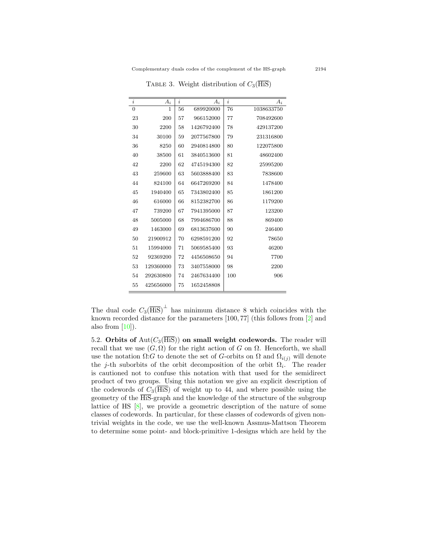| $\dot{i}$      | $A_i$     | i  | $A_i$      | i   | $A_i$      |
|----------------|-----------|----|------------|-----|------------|
| $\overline{0}$ | 1         | 56 | 689920000  | 76  | 1038633750 |
| 23             | 200       | 57 | 966152000  | 77  | 708492600  |
| 30             | 2200      | 58 | 1426792400 | 78  | 429137200  |
| 34             | 30100     | 59 | 2077567800 | 79  | 231316800  |
| 36             | 8250      | 60 | 2940814800 | 80  | 122075800  |
| 40             | 38500     | 61 | 3840513600 | 81  | 48602400   |
| 42             | 2200      | 62 | 4745194300 | 82  | 25995200   |
| 43             | 259600    | 63 | 5603888400 | 83  | 7838600    |
| 44             | 824100    | 64 | 6647269200 | 84  | 1478400    |
| 45             | 1940400   | 65 | 7343802400 | 85  | 1861200    |
| 46             | 616000    | 66 | 8152382700 | 86  | 1179200    |
| 47             | 739200    | 67 | 7941395000 | 87  | 123200     |
| 48             | 5005000   | 68 | 7994686700 | 88  | 869400     |
| 49             | 1463000   | 69 | 6813637600 | 90  | 246400     |
| 50             | 21900912  | 70 | 6298591200 | 92  | 78650      |
| 51             | 15994000  | 71 | 5069585400 | 93  | 46200      |
| 52             | 92369200  | 72 | 4456508650 | 94  | 7700       |
| 53             | 129360000 | 73 | 3407558000 | 98  | 2200       |
| 54             | 292630800 | 74 | 2467634400 | 100 | 906        |
| 55             | 425656000 | 75 | 1652458808 |     |            |

<span id="page-12-0"></span>TABLE 3. Weight distribution of  $C_3(\overline{\text{HiS}})$ 

The dual code  $C_3(\overline{\text{His}})^{\perp}$  has minimum distance 8 which coincides with the known recorded distance for the parameters [100*,* 77] (this follows from [\[2](#page-21-6)] and also from  $[10]$ .

5.2. **Orbits of**  $Aut(C_3(\overline{\text{His}}))$  **on small weight codewords.** The reader will recall that we use  $(G, \Omega)$  for the right action of *G* on  $\Omega$ . Henceforth, we shall use the notation Ω:*G* to denote the set of *G*-orbits on  $Ω$  and  $Ω<sub>i(j)</sub>$  will denote the *j*-th suborbits of the orbit decomposition of the orbit  $\Omega_i$ . The reader is cautioned not to confuse this notation with that used for the semidirect product of two groups. Using this notation we give an explicit description of the codewords of  $C_3(\overline{\text{His}})$  of weight up to 44, and where possible using the geometry of the  $\overline{\text{His}}$ -graph and the knowledge of the structure of the subgroup lattice of HS[[8\]](#page-21-7), we provide a geometric description of the nature of some classes of codewords. In particular, for these classes of codewords of given nontrivial weights in the code, we use the well-known Assmus-Mattson Theorem to determine some point- and block-primitive 1-designs which are held by the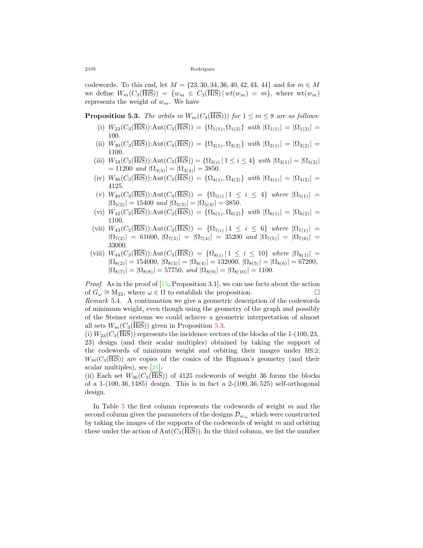codewords. To this end, let  $M = \{23, 30, 34, 36, 40, 42, 43, 44\}$  and for  $m \in M$ we define  $W_m(C_3(\overline{\text{His}})) = \{w_m \in C_3(\overline{\text{His}}) | wt(w_m) = m\}$ , where  $wt(w_m)$ represents the weight of *wm*. We have

<span id="page-13-0"></span>**Proposition 5.3.** *The orbits in*  $W_m(C_3(\overline{\text{His}})))$  *for*  $1 \leq m \leq 8$  *are as follows:* 

- (i)  $W_{23}(C_3(\overline{\text{His}}))$ :Aut $(C_3(\overline{\text{His}})) = {\Omega_{1(1)}, \Omega_{1(2)}}$ *with*  $|\Omega_{1(1)}| = |\Omega_{1(2)}|$ 100*.*
- (ii)  $W_{30}(C_3(\overline{\text{His}}))$ :Aut $(C_3(\overline{\text{His}})) = {\Omega_{2(1)}, \Omega_{2(2)}}$ *with*  $|\Omega_{2(1)}| = |\Omega_{2(2)}|$ 1100*.*
- $(iii)$   $W_{34}(C_3(\overline{\text{His}}))$ : $\text{Aut}(C_3(\overline{\text{His}})) = {\Omega_{3(i)} | 1 \le i \le 4}$  *with*  $|\Omega_{3(1)}| = |\Omega_{3(2)}|$  $= 11200$  *and*  $|\Omega_{3(3)}| = |\Omega_{3(4)}| = 3850$ .
- $(iv)$   $W_{36}(C_3(\overline{\text{His}}))$ : $Aut(C_3(\overline{\text{His}})) = {\Omega_{4(1)}, \Omega_{4(2)}}$  *with*  $|\Omega_{4(1)}| = |\Omega_{4(2)}| =$ 4125*.*
- $(V)$   $W_{40}(C_3(HiS))$ : $Aut(C_3(HiS)) = {\Omega_{5(i)} | 1 \leq i \leq 4}$  *where*  $|\Omega_{5(1)}|$  =  $|\Omega_{5(2)}| = 15400$  *and*  $|\Omega_{5(3)}| = |\Omega_{5(4)}| = 3850$ *.*
- $(vi)$   $W_{42}(C_3(\overline{\text{His}}))$ : $Aut(C_3(\overline{\text{His}})) = {\Omega_{6(1)}, \Omega_{6(2)}}$ *with*  $|\Omega_{6(1)}| = |\Omega_{6(2)}|$ 1100*.*
- $(Vii)$   $W_{43}(C_3(HiS))$ : $Aut(C_3(HiS)) = {\Omega_{7(i)} | 1 \leq i \leq 6}$  *where*  $|\Omega_{7(1)}|$  =  $|\Omega_{7(2)}| = 61600, |\Omega_{7(3)}| = |\Omega_{7(4)}| = 35200$  *and*  $|\Omega_{7(5)}| = |\Omega_{7(6)}| =$ 33000*.*
- $(Viii)$   $W_{44}(C_3(HiS))$ : $Aut(C_3(HiS)) = {\Omega_{8(i)} | 1 \le i \le 10}$  *where*  $|\Omega_{8(1)}|$  =  $|\Omega_{8(2)}| = 154000, |\Omega_{8(3)}| = |\Omega_{8(4)}| = 132000, |\Omega_{8(5)}| = |\Omega_{8(6)}| = 67200,$  $|\Omega_{8(7)}| = |\Omega_{8(8)}| = 57750$ , *and*  $|\Omega_{8(9)}| = |\Omega_{8(10)}| = 1100$ .

*Proof.*As in the proof of [[15,](#page-22-8) Proposition 3.1], we can use facts about the action of  $G_{\omega} \cong M_{22}$ , where  $\omega \in \Omega$  to establish the proposition.  $\square$ *Remark* 5.4*.* A continuation we give a geometric description of the codewords of minimum weight, even though using the geometry of the graph and possibly

of the Steiner systems we could achieve a geometric interpretation of almost all sets  $W_m(C_3(H\text{is}))$  given in Proposition [5.3.](#page-13-0)

(i)  $W_{23}(C_3(\overline{\text{His}}))$  represents the incidence vectors of the blocks of the 1-(100*,* 23*,* 23) design (and their scalar multiples) obtained by taking the support of the codewords of minimum weight and orbiting their images under HS:2;  $W_{30}(C_3(\overline{\text{His}}))$  are copies of the conics of the Higman's geometry (and their scalarmultiples), see  $[21]$  $[21]$ ;

(ii) Each set  $W_{36}(C_3(\overline{\text{His}}))$  of 4125 codewords of weight 36 forms the blocks of a 1-(100*,* 36*,* 1485) design. This is in fact a 2-(100*,* 36*,* 525) self-orthogonal design.

In Table [5](#page-14-1) the first column represents the codewords of weight *m* and the second column gives the parameters of the designs  $\mathcal{D}_{w_m}$  which were constructed by taking the images of the supports of the codewords of weight *m* and orbiting these under the action of  $Aut(C_3(\overline{\text{His}}))$ . In the third column, we list the number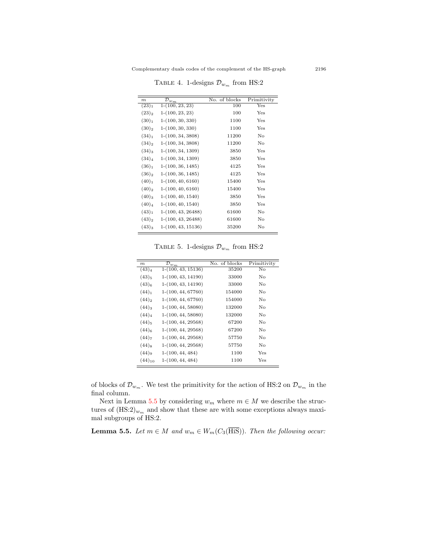| m                 | $\overline{\mathcal{D}}_{w_{\scriptsize{\textbf{m}}}}$ | No. of blocks | Primitivity |
|-------------------|--------------------------------------------------------|---------------|-------------|
| $(23)_1$          | $1-(100, 23, 23)$                                      | 100           | Yes         |
| $(23)_2$          | $1-(100, 23, 23)$                                      | 100           | Yes         |
| (30) <sub>1</sub> | $1-(100, 30, 330)$                                     | 1100          | Yes         |
| $(30)_2$          | $1-(100, 30, 330)$                                     | 1100          | Yes         |
| $(34)_{1}$        | $1-(100, 34, 3808)$                                    | 11200         | No          |
| $(34)_2$          | $1-(100, 34, 3808)$                                    | 11200         | No          |
| $(34)_3$          | $1-(100, 34, 1309)$                                    | 3850          | Yes         |
| $(34)_4$          | $1-(100, 34, 1309)$                                    | 3850          | Yes         |
| $(36)_1$          | $1-(100, 36, 1485)$                                    | 4125          | Yes         |
| $(36)_2$          | $1-(100, 36, 1485)$                                    | 4125          | Yes         |
| (40) <sub>1</sub> | $1-(100, 40, 6160)$                                    | 15400         | Yes         |
| $(40)_2$          | $1-(100, 40, 6160)$                                    | 15400         | Yes         |
| $(40)_3$          | $1-(100, 40, 1540)$                                    | 3850          | Yes         |
| $(40)_4$          | $1-(100, 40, 1540)$                                    | 3850          | Yes         |
| (43) <sub>1</sub> | $1-(100, 43, 26488)$                                   | 61600         | No          |
| $(43)_2$          | $1-(100, 43, 26488)$                                   | 61600         | No          |
| $(43)_3$          | $1-(100, 43, 15136)$                                   | 35200         | No          |

<span id="page-14-0"></span>TABLE 4. 1-designs  $\mathcal{D}_{w_m}$  from HS:2

<span id="page-14-1"></span>TABLE 5. 1-designs  $\mathcal{D}_{w_m}$  from HS:2

| m                   | $\mathcal{D}_{w_{m}}$ | No. of blocks | Primitivity |
|---------------------|-----------------------|---------------|-------------|
| $(43)_4$            | $1-(100, 43, 15136)$  | 35200         | No.         |
| $(43)_{5}$          | $1-(100, 43, 14190)$  | 33000         | No.         |
| $(43)_{6}$          | $1-(100, 43, 14190)$  | 33000         | No          |
| $(44)_{1}$          | $1-(100, 44, 67760)$  | 154000        | No          |
| $(44)$ <sub>2</sub> | $1-(100, 44, 67760)$  | 154000        | No          |
| $(44)_3$            | $1-(100, 44, 58080)$  | 132000        | No          |
| $(44)_4$            | $1-(100, 44, 58080)$  | 132000        | No.         |
| $(44)_{5}$          | $1-(100, 44, 29568)$  | 67200         | No          |
| $(44)_{6}$          | $1-(100, 44, 29568)$  | 67200         | No.         |
| $(44)_{7}$          | $1-(100, 44, 29568)$  | 57750         | No          |
| $(44)$ <sub>8</sub> | $1-(100, 44, 29568)$  | 57750         | No          |
| (44)                | $1-(100, 44, 484)$    | 1100          | Yes         |
| $(44)_{10}$         | $1-(100, 44, 484)$    | 1100          | Yes         |

of blocks of  $\mathcal{D}_{w_m}$ . We test the primitivity for the action of HS:2 on  $\mathcal{D}_{w_m}$  in the final column.

Next in Lemma [5.5](#page-14-2) by considering  $w_m$  where  $m \in M$  we describe the structures of  $(\text{HS:2})_{w_m}$  and show that these are with some exceptions always maximal subgroups of HS:2*.*

<span id="page-14-2"></span>**Lemma 5.5.** *Let*  $m \in M$  *and*  $w_m \in W_m(C_3(\overline{\text{His}}))$ *. Then the following occur:*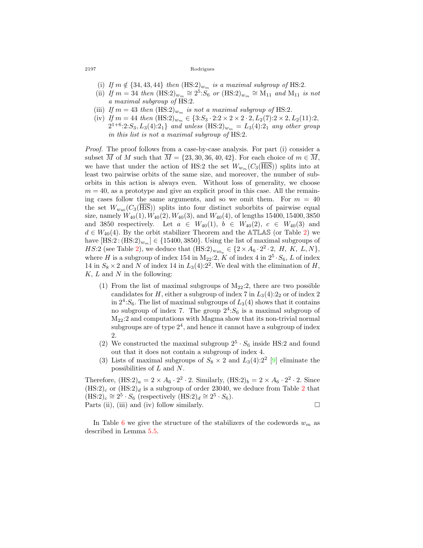- (i) If  $m \notin \{34, 43, 44\}$  then  $(HS:2)_{w_m}$  is a maximal subgroup of HS:2.
- (ii) *If*  $m = 34$  *then*  $(HS:2)_{w_m} \cong 2^5 \cdot S_6$  *or*  $(HS:2)_{w_m} \cong M_{11}$  *and*  $M_{11}$  *is not a maximal subgroup of* HS:2*.*
- (iii) If  $m = 43$  then  $(HS:2)_{w_m}$  *is not a maximal subgroup of* HS:2*.*
- (iv) *If*  $m = 44$  *then*  $(HS:2)_{w_m} \in \{3: S_3 \cdot 2:2 \times 2 \times 2 \cdot 2, L_2(7):2 \times 2, L_2(11):2,$  $2^{1+6}$ :2:*S*<sub>3</sub>*, L*<sub>3</sub>(4):2<sub>1</sub>} *and unless* (HS:2) $_{w_m} = L_3(4)$ :2<sub>1</sub> *any other group in this list is not a maximal subgroup of* HS:2*.*

*Proof.* The proof follows from a case-by-case analysis. For part (i) consider a subset  $\overline{M}$  of  $M$  such that  $\overline{M} = \{23, 30, 36, 40, 42\}$ . For each choice of  $m \in \overline{M}$ , we have that under the action of HS:2 the set  $W_{w_m}(C_3(HiS))$  splits into at least two pairwise orbits of the same size, and moreover, the number of suborbits in this action is always even. Without loss of generality, we choose  $m = 40$ , as a prototype and give an explicit proof in this case. All the remaining cases follow the same arguments, and so we omit them. For  $m = 40$ the set  $W_{w_{40}}(C_3(\overline{\text{His}}))$  splits into four distinct suborbits of pairwise equal size, namely  $W_{40}(1)$ ,  $W_{40}(2)$ ,  $W_{40}(3)$ , and  $W_{40}(4)$ , of lengths 15400, 15400, 3850 and 3850 respectively. Let  $a \in W_{40}(1)$ ,  $b \in W_{40}(2)$ ,  $c \in W_{40}(3)$  and  $d \in W_{40}(4)$ . By the orbit stabilizer Theorem and the ATLAS (or Table [2](#page-9-1)) we have  $[\text{HS}:2 : (\text{HS}:2)_{w_m}] \in \{15400, 3850\}$ . Using the list of maximal subgroups of *HS*:[2](#page-9-1) (see Table 2), we deduce that  $(HS:2)_{w_{40_a}} \in \{2 \times A_6 \cdot 2^2 \cdot 2, H, K, L, N\}$ , where *H* is a subgroup of index 154 in  $M_{22}:$  2, *K* of index 4 in  $2^5 \cdot S_6$ , *L* of index 14 in  $S_8 \times 2$  and *N* of index 14 in  $L_3(4):2^2$ . We deal with the elimination of *H*, *K, L* and *N* in the following:

- (1) From the list of maximal subgroups of  $M_{22}:2$ , there are two possible candidates for  $H$ , either a subgroup of index 7 in  $L_3(4):2_2$  or of index 2 in  $2^4$ : $S_6$ . The list of maximal subgroups of  $L_3(4)$  shows that it contains no subgroup of index 7. The group  $2^4$ :  $S_6$  is a maximal subgroup of M22:2 and computations with Magma show that its non-trivial normal subgroups are of type  $2<sup>4</sup>$ , and hence it cannot have a subgroup of index 2.
- (2) We constructed the maximal subgroup  $2^5 \cdot S_6$  inside HS:2 and found out that it does not contain a subgroup of index 4.
- (3) Lists of maximal subgroups of  $S_8 \times 2$  and  $L_3(4):2^2$  [[9\]](#page-22-3) eliminate the possibilities of *L* and *N*.

Therefore,  $(HS:2)_a = 2 \times A_6 \cdot 2^2 \cdot 2$ . Similarly,  $(HS:2)_b = 2 \times A_6 \cdot 2^2 \cdot 2$ . Since  $(HS:2)_c$  $(HS:2)_c$  $(HS:2)_c$  or  $(HS:2)_d$  is a subgroup of order 23040, we deduce from Table 2 that  $(HS:2)_c \cong 2^5 \cdot S_6$  (respectively  $(HS:2)_d \cong 2^5 \cdot S_6$ ). Parts (ii), (iii) and (iv) follow similarly.  $\Box$ 

In Table [6](#page-16-0) we give the structure of the stabilizers of the codewords  $w_m$  as described in Lemma [5.5](#page-14-2).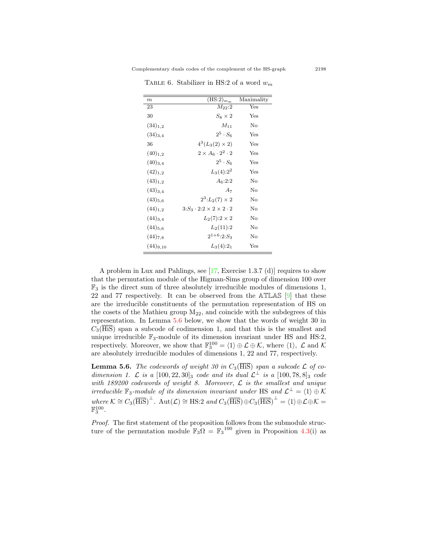| $\boldsymbol{m}$ | $\overline{\text{(HS:2)}}_{w_m}$             | Maximality |
|------------------|----------------------------------------------|------------|
| 23               | $M_{22}:2$                                   | Yes        |
| 30               | $S_8 \times 2$                               | Yes        |
| $(34)_{1,2}$     | $M_{11}$                                     | No         |
| $(34)_{3,4}$     | $2^5\cdot S_6$                               | Yes        |
| 36               | $4^3(L_3(2) \times 2)$                       | Yes        |
| $(40)_{1,2}$     | $2 \times A_6 \cdot 2^2 \cdot 2$             | Yes        |
| $(40)_{3,4}$     | $2^5 \cdot S_6$                              | Yes        |
| $(42)_{1,2}$     | $L_3(4):2^2$                                 | Yes        |
| $(43)_{1,2}$     | $A_6:2:2$                                    | No         |
| $(43)_{3,4}$     | A7                                           | No         |
| $(43)_{5,6}$     | $2^3: L_2(7) \times 2$                       | No         |
| $(44)_{1,2}$     | $3: S_3 \cdot 2:2 \times 2 \times 2 \cdot 2$ | No         |
| $(44)_{3,4}$     | $L_2(7):2\times 2$                           | No         |
| $(44)_{5,6}$     | $L_2(11):2$                                  | No         |
| $(44)_{7,8}$     | $2^{1+6}$ :2: $S_3$                          | No         |
| $(44)_{9,10}$    | $L_3(4):2_1$                                 | Yes        |

<span id="page-16-0"></span>Table 6. Stabilizer in HS:2 of a word *w<sup>m</sup>*

A problem in Lux and Pahlings, see[[17,](#page-22-2) Exercise 1.3.7 (d)] requires to show that the permutation module of the Higman-Sims group of dimension 100 over  $\mathbb{F}_3$  is the direct sum of three absolutely irreducible modules of dimensions 1, 22 and 77 respectively. It can be observed from the  $ATLAS$  [[9\]](#page-22-3) that these are the irreducible constituents of the permutation representation of HS on the cosets of the Mathieu group  $M_{22}$ , and coincide with the subdegrees of this representation. In Lemma [5.6](#page-16-1) below, we show that the words of weight 30 in  $C_3$ (HiS) span a subcode of codimension 1, and that this is the smallest and unique irreducible F3-module of its dimension invariant under HS and HS:2*,* respectively. Moreover, we show that  $\mathbb{F}_3^{100} = \langle 1 \rangle \oplus \mathcal{L} \oplus \mathcal{K}$ , where  $\langle 1 \rangle$ ,  $\mathcal{L}$  and  $\mathcal{K}$ are absolutely irreducible modules of dimensions 1, 22 and 77, respectively.

<span id="page-16-1"></span>**Lemma 5.6.** *The codewords of weight 30 in*  $C_3(\overline{\text{His}})$  *span a subcode*  $\mathcal{L}$  *of codimension 1.*  $\mathcal{L}$  *is a* [100*,* 22*,* 30]<sub>3</sub> *code and its dual*  $\mathcal{L}^{\perp}$  *is a* [100*,* 78*,* 8]<sub>3</sub> *code with 189200 codewords of weight 8. Moreover, L is the smallest and unique*  $$  $where \mathcal{K} \cong C_3(\overline{\text{His}})^{\perp}$ .  $Aut(\mathcal{L}) \cong \text{HS:2}$  *and*  $C_3(\overline{\text{His}}) \oplus C_3(\overline{\text{His}})^{\perp} = \langle 1 \rangle \oplus \mathcal{L} \oplus \mathcal{K} =$  $\mathbb{F}_3^{100}$ .

*Proof.* The first statement of the proposition follows from the submodule structure of the permutation module  $\mathbb{F}_3 \Omega = \mathbb{F}_3^{100}$  given in Proposition [4.3](#page-8-2)(i) as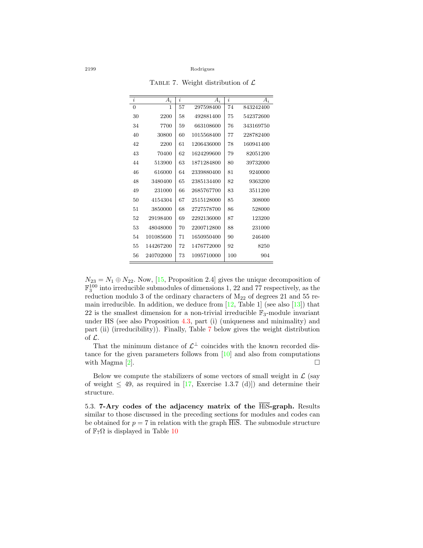<span id="page-17-0"></span>Table 7. Weight distribution of *L*

| i  | $A_i$     | i  | $A_i$      | i   | $A_i$     |
|----|-----------|----|------------|-----|-----------|
| 0  | 1         | 57 | 297598400  | 74  | 843242400 |
| 30 | 2200      | 58 | 492881400  | 75  | 542372600 |
| 34 | 7700      | 59 | 663108600  | 76  | 343169750 |
| 40 | 30800     | 60 | 1015568400 | 77  | 228782400 |
| 42 | 2200      | 61 | 1206436000 | 78  | 160941400 |
| 43 | 70400     | 62 | 1624299600 | 79  | 82051200  |
| 44 | 513900    | 63 | 1871284800 | 80  | 39732000  |
| 46 | 616000    | 64 | 2339880400 | 81  | 9240000   |
| 48 | 3480400   | 65 | 2385134400 | 82  | 9363200   |
| 49 | 231000    | 66 | 2685767700 | 83  | 3511200   |
| 50 | 4154304   | 67 | 2515128000 | 85  | 308000    |
| 51 | 3850000   | 68 | 2727578700 | 86  | 528000    |
| 52 | 29198400  | 69 | 2292136000 | 87  | 123200    |
| 53 | 48048000  | 70 | 2200712800 | 88  | 231000    |
| 54 | 101085600 | 71 | 1650950400 | 90  | 246400    |
| 55 | 144267200 | 72 | 1476772000 | 92  | 8250      |
| 56 | 240702000 | 73 | 1095710000 | 100 | 904       |

 $N_{23} = N_1 \oplus N_{22}$  $N_{23} = N_1 \oplus N_{22}$  $N_{23} = N_1 \oplus N_{22}$ . Now, [[15,](#page-22-8) Proposition 2.4] gives the unique decomposition of  $\mathbb{F}_3^{100}$  into irreducible submodules of dimensions 1, 22 and 77 respectively, as the reduction modulo 3 of the ordinary characters of  $M_{22}$  of degrees 21 and 55 remainirreducible. In addition, we deduce from  $[12,$  $[12,$  Table 1 (see also  $[13]$ ) that 22 is the smallest dimension for a non-trivial irreducible  $\mathbb{F}_3$ -module invariant under HS (see also Proposition [4.3,](#page-8-2) part (i) (uniqueness and minimality) and part (ii) (irreducibility)). Finally, Table [7](#page-17-0) below gives the weight distribution of *L*.

That the minimum distance of  $\mathcal{L}^{\perp}$  coincides with the known recorded distance for the given parameters follows from[[10\]](#page-22-14) and also from computations with Magma  $[2]$ .

Below we compute the stabilizers of some vectors of small weight in  $\mathcal{L}$  (say of weight  $\leq$  49, as required in [\[17](#page-22-2), Exercise 1.3.7 (d)]) and determine their structure.

5.3. **7-Ary codes of the adjacency matrix of the** HiS**-graph.** Results similar to those discussed in the preceding sections for modules and codes can be obtained for  $p = 7$  in relation with the graph  $\overline{HiS}$ . The submodule structure of  $\mathbb{F}_7\Omega$  is displayed in Table [10](#page-18-0)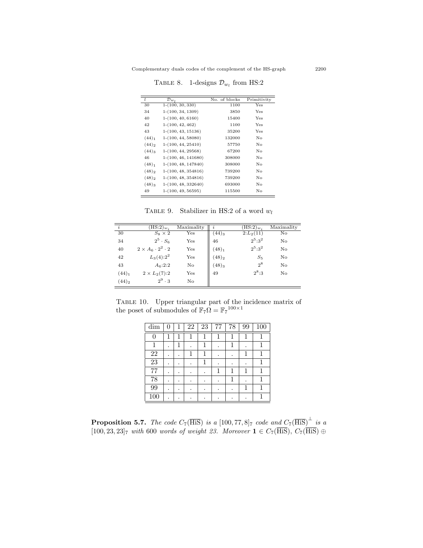TABLE 8. 1-designs  $\mathcal{D}_{w_l}$  from HS:2

| L                 | $\mathcal{D}_{w}$     | No. of blocks | Primitivity |
|-------------------|-----------------------|---------------|-------------|
| 30                | $1-(100, 30, 330)$    | 1100          | Yes         |
| 34                | $1-(100, 34, 1309)$   | 3850          | Yes         |
| 40                | $1-(100, 40, 6160)$   | 15400         | Yes         |
| 42                | $1-(100, 42, 462)$    | 1100          | Yes         |
| 43                | $1-(100, 43, 15136)$  | 35200         | Yes         |
| $(44)_{1}$        | $1-(100, 44, 58080)$  | 132000        | No          |
| $(44)_{2}$        | $1-(100, 44, 25410)$  | 57750         | No          |
| $(44)_3$          | $1-(100, 44, 29568)$  | 67200         | No          |
| 46                | $1-(100, 46, 141680)$ | 308000        | No          |
| (48) <sub>1</sub> | $1-(100, 48, 147840)$ | 308000        | No          |
| $(48)_2$          | $1-(100, 48, 354816)$ | 739200        | No          |
| $(48)_2$          | $1-(100, 48, 354816)$ | 739200        | No          |
| $(48)_3$          | $1-(100, 48, 332640)$ | 693000        | No          |
| 49                | $1-(100, 49, 56595)$  | 115500        | No          |

TABLE 9. Stabilizer in HS:2 of a word  $w_l$ 

| $\overline{i}$      | $(\overline{\text{HS}}:2)_{w_i}$ | Maximality   | $\boldsymbol{\eta}$ | $(\overline{\text{HS}}:2)_{w_i}$ | Maximality |
|---------------------|----------------------------------|--------------|---------------------|----------------------------------|------------|
| 30                  | $S_8 \times 2$                   | $_{\rm Yes}$ | $(44)_3$            | $2:L_2(11)$                      | No.        |
| 34                  | $2^5 \cdot S_6$                  | Yes          | 46                  | $2^5:3^2$                        | No         |
| 40                  | $2\times A_6\cdot 2^2\cdot 2$    | Yes          | (48) <sub>1</sub>   | $2^5:3^2$                        | No         |
| 42                  | $L_3(4):2^2$                     | Yes          | $(48)_2$            | $S_5$                            | No         |
| 43                  | $A_6:2:2$                        | No           | $(48)_3$            | $2^8$                            | No         |
| $(44)_{1}$          | $2 \times L_2(7)$ :2             | Yes          | 49                  | $2^8:3$                          | No         |
| $(44)$ <sub>2</sub> | $2^9 \cdot 3$                    | No           |                     |                                  |            |

TABLE 10. Upper triangular part of the incidence matrix of the poset of submodules of  $\mathbb{F}_7\Omega = \mathbb{F}_7^{100 \times 1}$ 

<span id="page-18-0"></span>

| dim    | 0 | 1 | 22 | 23 | 77 | 78 | 99 | 100 |
|--------|---|---|----|----|----|----|----|-----|
| 0      | 1 | 1 | 1  | 1  | 1  | 1  | 1  |     |
| 1      | ٠ | 1 |    | 1  |    | 1  |    |     |
| $22\,$ | ٠ |   | 1  | 1  |    |    | 1  |     |
| 23     | ٠ |   |    | 1  |    |    |    |     |
| 77     | ٠ |   |    |    | 1  | 1  | 1  |     |
| 78     | ٠ |   |    |    |    | 1  |    |     |
| 99     | ٠ |   |    |    |    |    | 1  |     |
| 100    |   |   |    |    |    |    |    |     |

**Proposition 5.7.** *The code*  $C_7(\overline{\text{HiS}})$  *is a* [100*,* 77*,* 8]<sub>7</sub> *code and*  $C_7(\overline{\text{HiS}})^{\perp}$  *is a*  $[100, 23, 23]$ <sub>7</sub> *with* 600 *words of weight 23. Moreover* **1** ∈  $C_7$ (HiS)*, C*<sub>7</sub>(HiS) ⊕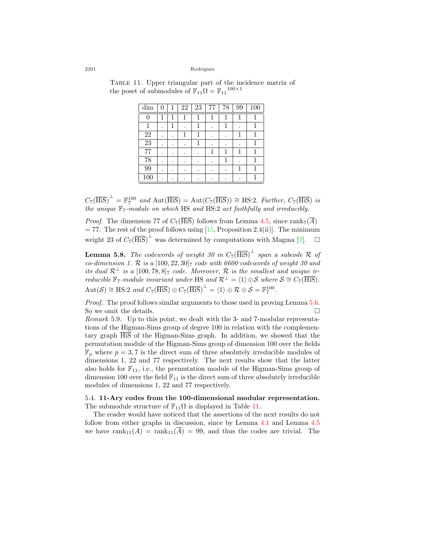<span id="page-19-1"></span>

| dim             | 0 | 1 | 22 | 23 | 77 | 78 | 99 | 100 |
|-----------------|---|---|----|----|----|----|----|-----|
| 0               | 1 | 1 | 1  | 1  | 1  | 1  | 1  |     |
|                 |   | 1 |    |    |    |    |    |     |
| $\overline{22}$ | ٠ |   |    |    |    |    | 1  |     |
| $\overline{23}$ | ٠ | ٠ |    |    |    | ٠  | ٠  |     |
| $\overline{77}$ | ٠ |   |    |    | 1  | 1  | 1  |     |
| 78              | ٠ |   |    |    |    | 1  |    |     |
| 99              |   |   |    |    |    |    | 1  |     |
| 100             |   |   |    |    |    |    |    |     |

Table 11. Upper triangular part of the incidence matrix of the poset of submodules of  $\mathbb{F}_{11}\Omega = \mathbb{F}_{11}^{100 \times 1}$ 

 $C_7(\overline{\text{His}})^{\perp} = \mathbb{F}_7^{100}$  and  $\text{Aut}(\overline{\text{His}}) = \text{Aut}(C_7(\overline{\text{His}})) \cong \text{HS}:2$ *. Further,*  $C_7(\overline{\text{His}})$  *is the unique* F7*-module on which* HS *and* HS:2 *act faithfully and irreducibly.*

*Proof.* The dimension 77 of  $C_7(\overline{\text{His}})$  follows from Lemma [4.5](#page-9-0), since rank $_7(\overline{A})$  $= 77$ . The rest of the proof follows using [\[15](#page-22-8), Proposition 2.4(ii)]. The minimum weight23 of  $C_7(\overline{\text{HiS}})^{\perp}$  was determined by computations with Magma [[2\]](#page-21-6). □

**Lemma 5.8.** *The codewords of weight 30 in*  $C_7(\overline{\text{His}})^{\perp}$  *span a subcode*  $\mathcal{R}$  *of co-dimension 1.*  $\mathcal R$  *is a* [100*,* 22*,* 30]<sub>7</sub> *code with 6600 codewords of weight 30 and its dual*  $\mathcal{R}^{\perp}$  *is a* [100*,* 78*,* 8]<sub>7</sub> *code. Moreover,*  $\mathcal{R}$  *is the smallest and unique irreducible*  $\mathbb{F}_7$ *-module invariant under* HS *and*  $\mathcal{R}^{\perp} = \langle 1 \rangle \oplus \mathcal{S}$  *where*  $\mathcal{S} \cong C_7(\overline{\text{HS}})$ *.*  $Aut(\mathcal{S}) \cong \text{HS:2}$  *and*  $C_7(\overline{\text{HS}}) \oplus C_7(\overline{\text{HS}})^{\perp} = \langle 1 \rangle \oplus \mathcal{R} \oplus \mathcal{S} = \mathbb{F}_7^{100}$ .

*Proof.* The proof follows similar arguments to those used in proving Lemma [5.6](#page-16-1). So we omit the details.  $\Box$ 

*Remark* 5.9*.* Up to this point, we dealt with the 3- and 7-modular representations of the Higman-Sims group of degree 100 in relation with the complementary graph HiS of the Higman-Sims graph. In addition, we showed that the permutation module of the Higman-Sims group of dimension 100 over the fields  $\mathbb{F}_p$  where  $p = 3, 7$  is the direct sum of three absolutely irreducible modules of dimensions 1, 22 and 77 respectively. The next results show that the latter also holds for  $\mathbb{F}_{11}$ , i.e., the permutation module of the Higman-Sims group of dimension 100 over the field  $\mathbb{F}_{11}$  is the direct sum of three absolutely irreducible modules of dimensions 1, 22 and 77 respectively.

<span id="page-19-0"></span>5.4. **11-Ary codes from the 100-dimensional modular representation.** The submodule structure of  $\mathbb{F}_{11}\Omega$  $\mathbb{F}_{11}\Omega$  $\mathbb{F}_{11}\Omega$  is displayed in Table 11.

The reader would have noticed that the assertions of the next results do not follow from either graphs in discussion, since by Lemma [4.1](#page-8-1) and Lemma [4.5](#page-9-0) we have rank<sub>11</sub>(*A*) = rank<sub>11</sub>( $\overline{A}$ ) = 99, and thus the codes are trivial. The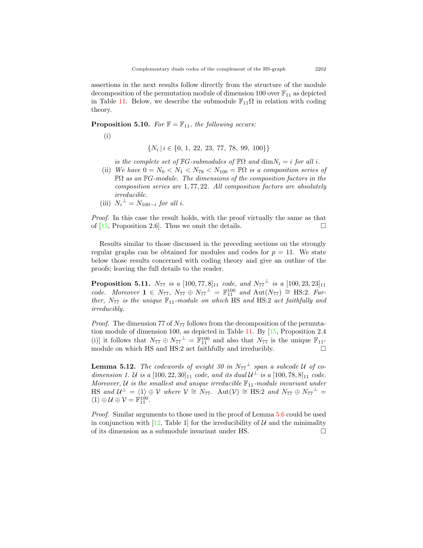assertions in the next results follow directly from the structure of the module decomposition of the permutation module of dimension 100 over  $\mathbb{F}_{11}$  as depicted in Table [11](#page-19-1). Below, we describe the submodule  $\mathbb{F}_{11}\Omega$  in relation with coding theory.

**Proposition 5.10.** *For*  $\mathbb{F} = \mathbb{F}_{11}$ *, the following occurs:* 

(i)

$$
\{N_i\,|\,i\in\{0,\,1,\;22,\;23,\;77,\;78,\;99,\;100\}\}
$$

*is the complete set of*  $\mathbb{F}G$ *-submodules of*  $\mathbb{F}\Omega$  *and*  $\dim N_i = i$  *for all i*.

- (ii) *We have*  $0 = N_0 < N_1 < N_{78} < N_{100} = \mathbb{F}\Omega$  *is a composition series of* FΩ *as an* F*G-module. The dimensions of the composition factors in the composition series are* 1*,* 77*,* 22*. All composition factors are absolutely irreducible.*
- $(iii)$   $N_i^{\perp} = N_{100-i}$  *for all i.*

*Proof.* In this case the result holds, with the proof virtually the same as that of  $[15,$  Proposition 2.6. Thus we omit the details.  $\Box$ 

Results similar to those discussed in the preceding sections on the strongly regular graphs can be obtained for modules and codes for  $p = 11$ . We state below those results concerned with coding theory and give an outline of the proofs; leaving the full details to the reader.

**Proposition 5.11.**  $N_{77}$  *is a* [100*,* 77*,* 8]<sub>11</sub> *code, and*  $N_{77}$ <sup> $\pm$ </sup> *is a* [100*,* 23*,* 23]<sub>11</sub>  $code. Moreover \mathbf{1} \in N_{77}, N_{77} \oplus N_{77}^{\perp} = \mathbb{F}_{11}^{100} \text{ and } \text{Aut}(N_{77}) \cong \text{HS:2.} \text{ Fur-}$ *ther,*  $N_{77}$  *is the unique*  $\mathbb{F}_{11}$ *-module on which* HS *and* HS:2 *act faithfully and irreducibly.*

*Proof.* The dimension 77 of  $N_{77}$  follows from the decomposition of the permutation module of dimension 100, as depicted in Table [11](#page-19-1). By[[15](#page-22-8), Proposition 2.4 (i)] it follows that  $N_{77} \oplus N_{77}^{\perp} = \mathbb{F}_{11}^{100}$  and also that  $N_{77}$  is the unique  $\mathbb{F}_{11}$ module on which HS and HS:2 act faithfully and irreducibly.  $\Box$ 

**Lemma 5.12.** *The codewords of weight 30 in*  $N_{77}^{\perp}$  *span a subcode U of codimension 1. U is a*  $[100, 22, 30]_{11}$  *code, and its dual*  $U^{\perp}$  *is a*  $[100, 78, 8]_{11}$  *code. Moreover,*  $U$  *is the smallest and unique irreducible*  $\mathbb{F}_{11}$ *-module invariant under*  $H\text{S}$  *and*  $\mathcal{U}^{\perp} = \langle 1 \rangle \oplus \mathcal{V}$  *where*  $\mathcal{V} \cong N_{77}$ .  $\text{Aut}(\mathcal{V}) \cong \text{HS:2}$  *and*  $N_{77} \oplus N_{77}^{\perp} =$  $\langle 1 \rangle \oplus \mathcal{U} \oplus \mathcal{V} = \mathbb{F}_{11}^{100}$ .

*Proof.* Similar arguments to those used in the proof of Lemma [5.6](#page-16-1) could be used inconjunction with  $[12, \text{Table 1}]$  $[12, \text{Table 1}]$  $[12, \text{Table 1}]$  for the irreducibility of *U* and the minimality of its dimension as a submodule invariant under HS.  $\Box$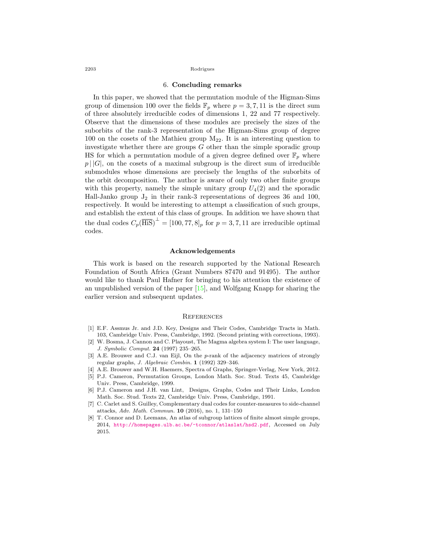### 6. **Concluding remarks**

In this paper, we showed that the permutation module of the Higman-Sims group of dimension 100 over the fields  $\mathbb{F}_p$  where  $p = 3, 7, 11$  is the direct sum of three absolutely irreducible codes of dimensions 1, 22 and 77 respectively. Observe that the dimensions of these modules are precisely the sizes of the suborbits of the rank-3 representation of the Higman-Sims group of degree 100 on the cosets of the Mathieu group M22*.* It is an interesting question to investigate whether there are groups *G* other than the simple sporadic group HS for which a permutation module of a given degree defined over  $\mathbb{F}_p$  where  $p \mid |G|$ , on the cosets of a maximal subgroup is the direct sum of irreducible submodules whose dimensions are precisely the lengths of the suborbits of the orbit decomposition. The author is aware of only two other finite groups with this property, namely the simple unitary group  $U_4(2)$  and the sporadic Hall-Janko group  $J_2$  in their rank-3 representations of degrees 36 and 100, respectively. It would be interesting to attempt a classification of such groups, and establish the extent of this class of groups. In addition we have shown that the dual codes  $C_p(\overline{\text{His}})^{\perp} = [100, 77, 8]_p$  for  $p = 3, 7, 11$  are irreducible optimal codes.

# **Acknowledgements**

This work is based on the research supported by the National Research Foundation of South Africa (Grant Numbers 87470 and 91495). The author would like to thank Paul Hafner for bringing to his attention the existence of an unpublished version of the paper[[15](#page-22-8)], and Wolfgang Knapp for sharing the earlier version and subsequent updates.

#### **REFERENCES**

- <span id="page-21-0"></span>[1] E.F. Assmus Jr. and J.D. Key, Designs and Their Codes, Cambridge Tracts in Math. 103, Cambridge Univ. Press, Cambridge, 1992. (Second printing with corrections, 1993).
- <span id="page-21-6"></span>[2] W. Bosma, J. Cannon and C. Playoust, The Magma algebra system I: The user language, *J. Symbolic Comput.* **24** (1997) 235–265.
- <span id="page-21-4"></span>[3] A.E. Brouwer and C.J. van Eijl, On the *p*-rank of the adjacency matrices of strongly regular graphs, *J. Algebraic Combin.* **1** (1992) 329–346.
- <span id="page-21-3"></span>[4] A.E. Brouwer and W.H. Haemers, Spectra of Graphs, Springer-Verlag, New York, 2012.
- <span id="page-21-2"></span>[5] P.J. Cameron, Permutation Groups, London Math. Soc. Stud. Texts 45, Cambridge Univ. Press, Cambridge, 1999.
- <span id="page-21-1"></span>[6] P.J. Cameron and J.H. van Lint, Designs, Graphs, Codes and Their Links, London Math. Soc. Stud. Texts 22, Cambridge Univ. Press, Cambridge, 1991.
- <span id="page-21-5"></span>[7] C. Carlet and S. Guilley, Complementary dual codes for counter-measures to side-channel attacks, *Adv. Math. Commun.* **10** (2016), no. 1, 131–150
- <span id="page-21-7"></span>[8] T. Connor and D. Leemans, An atlas of subgroup lattices of finite almost simple groups, 2014, <http://homepages.ulb.ac.be/~tconnor/atlaslat/hsd2.pdf>, Accessed on July 2015.